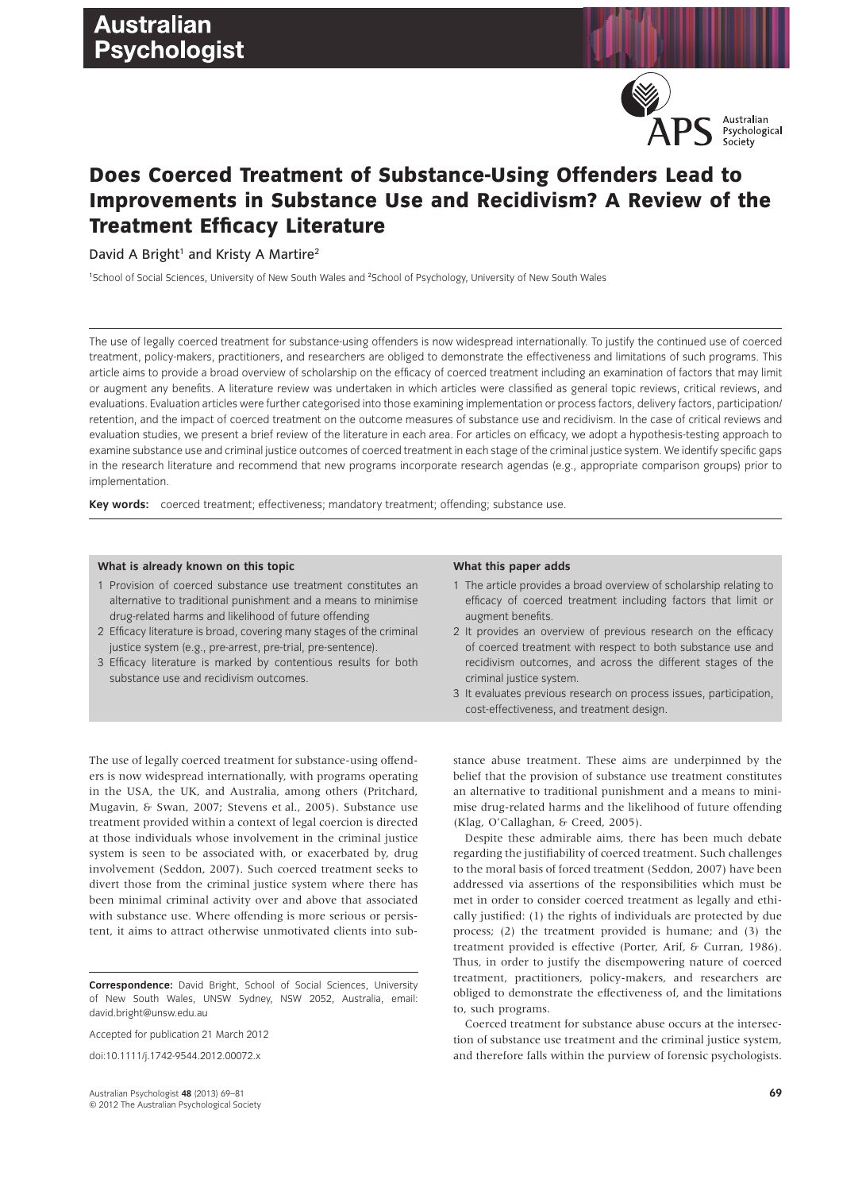

# **Does Coerced Treatment of Substance-Using Offenders Lead to Improvements in Substance Use and Recidivism? A Review of the Treatment Efficacy Literature**

David A Bright<sup>1</sup> and Kristy A Martire<sup>2</sup>

<sup>1</sup>School of Social Sciences, University of New South Wales and <sup>2</sup>School of Psychology, University of New South Wales

The use of legally coerced treatment for substance-using offenders is now widespread internationally. To justify the continued use of coerced treatment, policy-makers, practitioners, and researchers are obliged to demonstrate the effectiveness and limitations of such programs. This article aims to provide a broad overview of scholarship on the efficacy of coerced treatment including an examination of factors that may limit or augment any benefits. A literature review was undertaken in which articles were classified as general topic reviews, critical reviews, and evaluations. Evaluation articles were further categorised into those examining implementation or process factors, delivery factors, participation/ retention, and the impact of coerced treatment on the outcome measures of substance use and recidivism. In the case of critical reviews and evaluation studies, we present a brief review of the literature in each area. For articles on efficacy, we adopt a hypothesis-testing approach to examine substance use and criminal justice outcomes of coerced treatment in each stage of the criminal justice system. We identify specific gaps in the research literature and recommend that new programs incorporate research agendas (e.g., appropriate comparison groups) prior to implementation.

**Key words:** coerced treatment; effectiveness; mandatory treatment; offending; substance use.

#### **What is already known on this topic**

- 1 Provision of coerced substance use treatment constitutes an alternative to traditional punishment and a means to minimise drug-related harms and likelihood of future offending
- 2 Efficacy literature is broad, covering many stages of the criminal justice system (e.g., pre-arrest, pre-trial, pre-sentence).
- 3 Efficacy literature is marked by contentious results for both substance use and recidivism outcomes.

### **What this paper adds**

- 1 The article provides a broad overview of scholarship relating to efficacy of coerced treatment including factors that limit or augment benefits.
- 2 It provides an overview of previous research on the efficacy of coerced treatment with respect to both substance use and recidivism outcomes, and across the different stages of the criminal justice system.
- 3 It evaluates previous research on process issues, participation, cost-effectiveness, and treatment design.

The use of legally coerced treatment for substance-using offenders is now widespread internationally, with programs operating in the USA, the UK, and Australia, among others (Pritchard, Mugavin, & Swan, 2007; Stevens et al., 2005). Substance use treatment provided within a context of legal coercion is directed at those individuals whose involvement in the criminal justice system is seen to be associated with, or exacerbated by, drug involvement (Seddon, 2007). Such coerced treatment seeks to divert those from the criminal justice system where there has been minimal criminal activity over and above that associated with substance use. Where offending is more serious or persistent, it aims to attract otherwise unmotivated clients into sub-

**Correspondence:** David Bright, School of Social Sciences, University of New South Wales, UNSW Sydney, NSW 2052, Australia, email: david.bright@unsw.edu.au

Accepted for publication 21 March 2012

doi:10.1111/j.1742-9544.2012.00072.x

stance abuse treatment. These aims are underpinned by the belief that the provision of substance use treatment constitutes an alternative to traditional punishment and a means to minimise drug-related harms and the likelihood of future offending (Klag, O'Callaghan, & Creed, 2005).

Despite these admirable aims, there has been much debate regarding the justifiability of coerced treatment. Such challenges to the moral basis of forced treatment (Seddon, 2007) have been addressed via assertions of the responsibilities which must be met in order to consider coerced treatment as legally and ethically justified: (1) the rights of individuals are protected by due process; (2) the treatment provided is humane; and (3) the treatment provided is effective (Porter, Arif, & Curran, 1986). Thus, in order to justify the disempowering nature of coerced treatment, practitioners, policy-makers, and researchers are obliged to demonstrate the effectiveness of, and the limitations to, such programs.

Coerced treatment for substance abuse occurs at the intersection of substance use treatment and the criminal justice system, and therefore falls within the purview of forensic psychologists.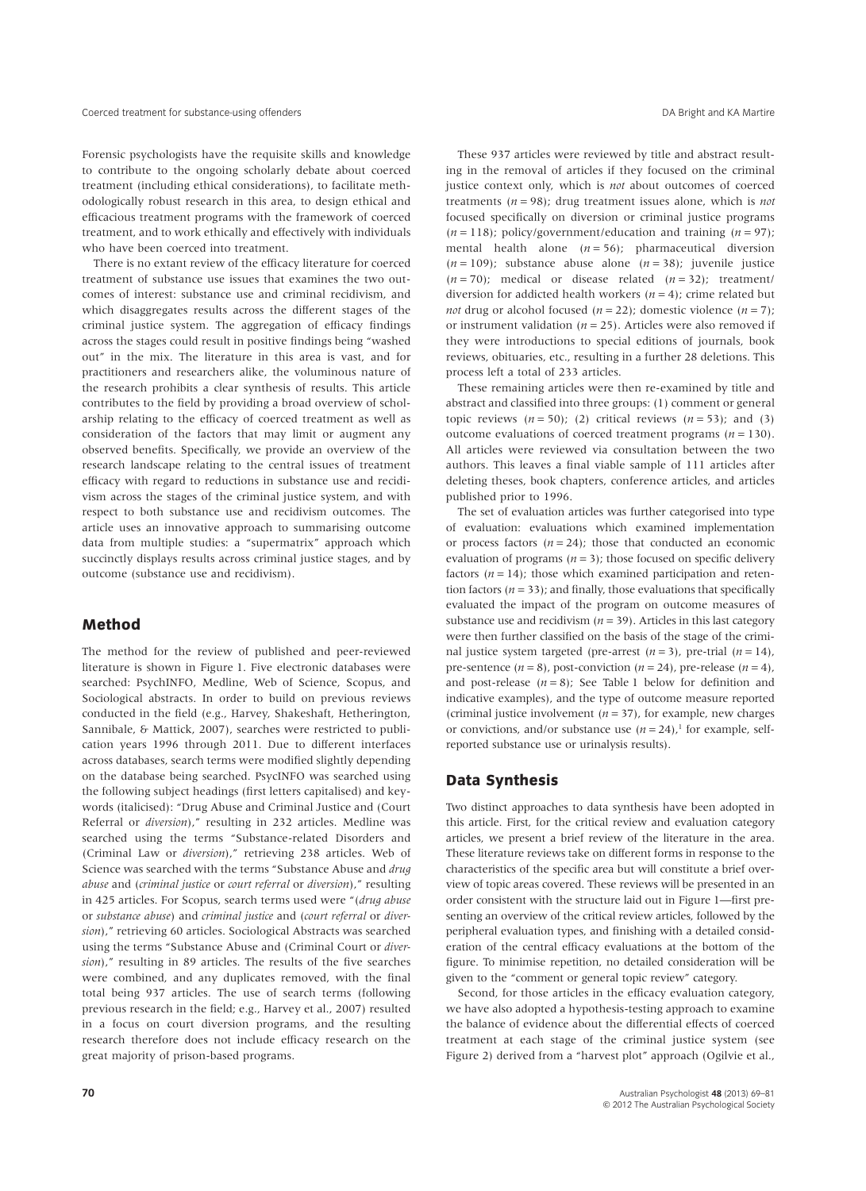Forensic psychologists have the requisite skills and knowledge to contribute to the ongoing scholarly debate about coerced treatment (including ethical considerations), to facilitate methodologically robust research in this area, to design ethical and efficacious treatment programs with the framework of coerced treatment, and to work ethically and effectively with individuals who have been coerced into treatment.

There is no extant review of the efficacy literature for coerced treatment of substance use issues that examines the two outcomes of interest: substance use and criminal recidivism, and which disaggregates results across the different stages of the criminal justice system. The aggregation of efficacy findings across the stages could result in positive findings being "washed out" in the mix. The literature in this area is vast, and for practitioners and researchers alike, the voluminous nature of the research prohibits a clear synthesis of results. This article contributes to the field by providing a broad overview of scholarship relating to the efficacy of coerced treatment as well as consideration of the factors that may limit or augment any observed benefits. Specifically, we provide an overview of the research landscape relating to the central issues of treatment efficacy with regard to reductions in substance use and recidivism across the stages of the criminal justice system, and with respect to both substance use and recidivism outcomes. The article uses an innovative approach to summarising outcome data from multiple studies: a "supermatrix" approach which succinctly displays results across criminal justice stages, and by outcome (substance use and recidivism).

### **Method**

The method for the review of published and peer-reviewed literature is shown in Figure 1. Five electronic databases were searched: PsychINFO, Medline, Web of Science, Scopus, and Sociological abstracts. In order to build on previous reviews conducted in the field (e.g., Harvey, Shakeshaft, Hetherington, Sannibale, & Mattick, 2007), searches were restricted to publication years 1996 through 2011. Due to different interfaces across databases, search terms were modified slightly depending on the database being searched. PsycINFO was searched using the following subject headings (first letters capitalised) and keywords (italicised): "Drug Abuse and Criminal Justice and (Court Referral or *diversion*)," resulting in 232 articles. Medline was searched using the terms "Substance-related Disorders and (Criminal Law or *diversion*)," retrieving 238 articles. Web of Science was searched with the terms "Substance Abuse and *drug abuse* and (*criminal justice* or *court referral* or *diversion*)," resulting in 425 articles. For Scopus, search terms used were "(*drug abuse* or *substance abuse*) and *criminal justice* and (*court referral* or *diversion*)," retrieving 60 articles. Sociological Abstracts was searched using the terms "Substance Abuse and (Criminal Court or *diversion*)," resulting in 89 articles. The results of the five searches were combined, and any duplicates removed, with the final total being 937 articles. The use of search terms (following previous research in the field; e.g., Harvey et al., 2007) resulted in a focus on court diversion programs, and the resulting research therefore does not include efficacy research on the great majority of prison-based programs.

These 937 articles were reviewed by title and abstract resulting in the removal of articles if they focused on the criminal justice context only, which is *not* about outcomes of coerced treatments (*n* = 98); drug treatment issues alone, which is *not* focused specifically on diversion or criminal justice programs  $(n = 118)$ ; policy/government/education and training  $(n = 97)$ ; mental health alone  $(n = 56)$ ; pharmaceutical diversion (*n* = 109); substance abuse alone (*n* = 38); juvenile justice  $(n = 70)$ ; medical or disease related  $(n = 32)$ ; treatment/ diversion for addicted health workers  $(n = 4)$ ; crime related but *not* drug or alcohol focused ( $n = 22$ ); domestic violence ( $n = 7$ ); or instrument validation  $(n = 25)$ . Articles were also removed if they were introductions to special editions of journals, book reviews, obituaries, etc., resulting in a further 28 deletions. This process left a total of 233 articles.

These remaining articles were then re-examined by title and abstract and classified into three groups: (1) comment or general topic reviews  $(n = 50)$ ; (2) critical reviews  $(n = 53)$ ; and (3) outcome evaluations of coerced treatment programs (*n* = 130). All articles were reviewed via consultation between the two authors. This leaves a final viable sample of 111 articles after deleting theses, book chapters, conference articles, and articles published prior to 1996.

The set of evaluation articles was further categorised into type of evaluation: evaluations which examined implementation or process factors  $(n = 24)$ ; those that conducted an economic evaluation of programs  $(n = 3)$ ; those focused on specific delivery factors  $(n = 14)$ ; those which examined participation and retention factors ( $n = 33$ ); and finally, those evaluations that specifically evaluated the impact of the program on outcome measures of substance use and recidivism  $(n = 39)$ . Articles in this last category were then further classified on the basis of the stage of the criminal justice system targeted (pre-arrest  $(n = 3)$ , pre-trial  $(n = 14)$ , pre-sentence  $(n = 8)$ , post-conviction  $(n = 24)$ , pre-release  $(n = 4)$ , and post-release  $(n = 8)$ ; See Table 1 below for definition and indicative examples), and the type of outcome measure reported (criminal justice involvement  $(n = 37)$ , for example, new charges or convictions, and/or substance use  $(n = 24)$ ,<sup>1</sup> for example, selfreported substance use or urinalysis results).

### **Data Synthesis**

Two distinct approaches to data synthesis have been adopted in this article. First, for the critical review and evaluation category articles, we present a brief review of the literature in the area. These literature reviews take on different forms in response to the characteristics of the specific area but will constitute a brief overview of topic areas covered. These reviews will be presented in an order consistent with the structure laid out in Figure 1—first presenting an overview of the critical review articles, followed by the peripheral evaluation types, and finishing with a detailed consideration of the central efficacy evaluations at the bottom of the figure. To minimise repetition, no detailed consideration will be given to the "comment or general topic review" category.

Second, for those articles in the efficacy evaluation category, we have also adopted a hypothesis-testing approach to examine the balance of evidence about the differential effects of coerced treatment at each stage of the criminal justice system (see Figure 2) derived from a "harvest plot" approach (Ogilvie et al.,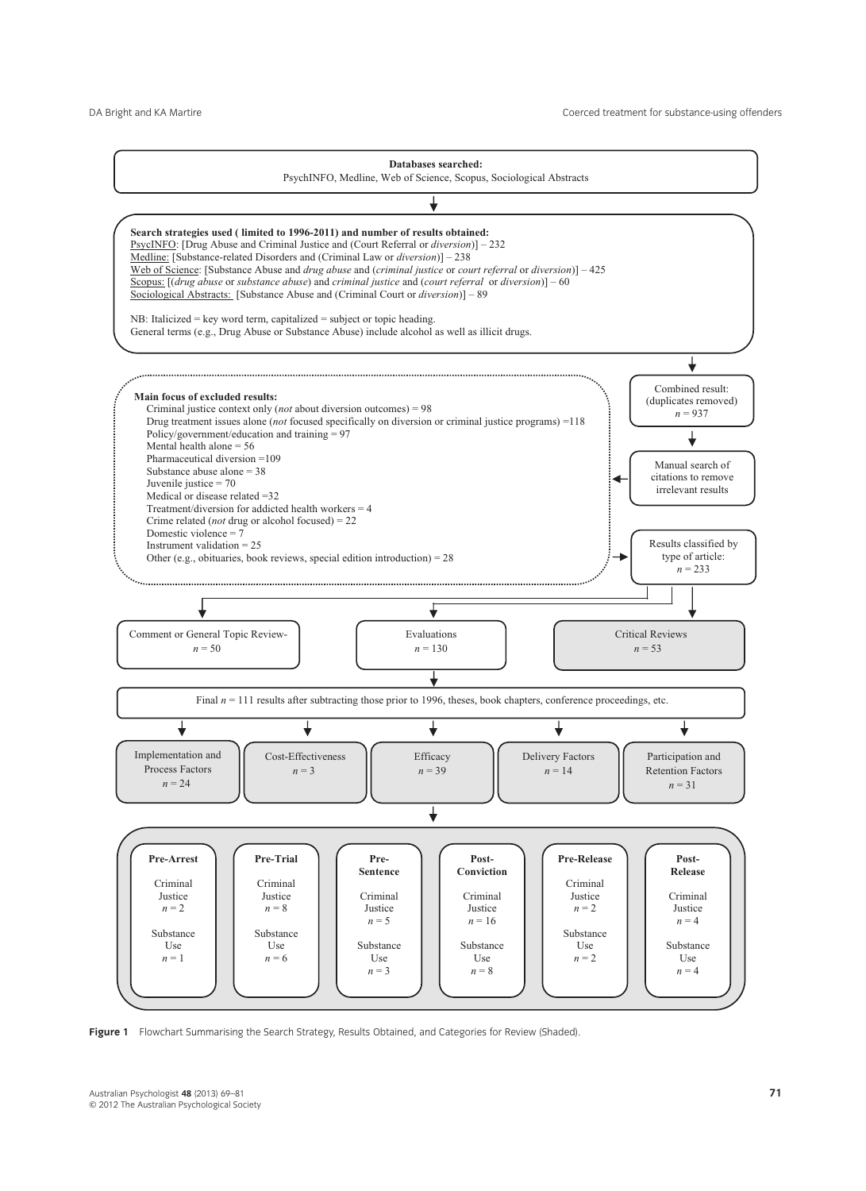

**Figure 1** Flowchart Summarising the Search Strategy, Results Obtained, and Categories for Review (Shaded).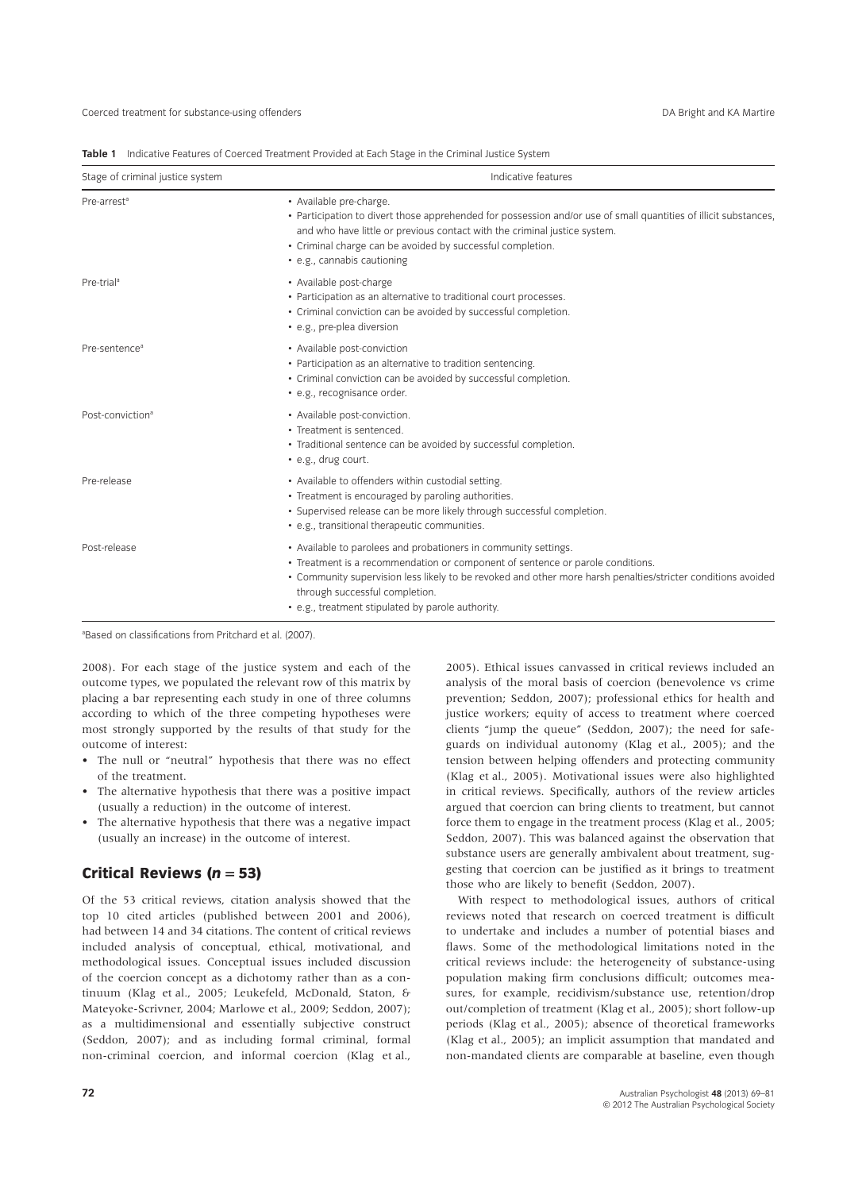|  |  | Table 1 Indicative Features of Coerced Treatment Provided at Each Stage in the Criminal Justice System |  |  |
|--|--|--------------------------------------------------------------------------------------------------------|--|--|
|--|--|--------------------------------------------------------------------------------------------------------|--|--|

| Stage of criminal justice system | Indicative features                                                                                                                                                                                                                                                                                                                                      |  |  |
|----------------------------------|----------------------------------------------------------------------------------------------------------------------------------------------------------------------------------------------------------------------------------------------------------------------------------------------------------------------------------------------------------|--|--|
| Pre-arrest <sup>a</sup>          | • Available pre-charge.<br>• Participation to divert those apprehended for possession and/or use of small quantities of illicit substances,<br>and who have little or previous contact with the criminal justice system.<br>• Criminal charge can be avoided by successful completion.<br>• e.g., cannabis cautioning                                    |  |  |
| Pre-trial <sup>a</sup>           | • Available post-charge<br>• Participation as an alternative to traditional court processes.<br>• Criminal conviction can be avoided by successful completion.<br>· e.g., pre-plea diversion                                                                                                                                                             |  |  |
| Pre-sentence <sup>a</sup>        | • Available post-conviction<br>• Participation as an alternative to tradition sentencing.<br>• Criminal conviction can be avoided by successful completion.<br>• e.g., recognisance order.                                                                                                                                                               |  |  |
| Post-conviction <sup>a</sup>     | • Available post-conviction.<br>· Treatment is sentenced.<br>• Traditional sentence can be avoided by successful completion.<br>• e.g., drug court.                                                                                                                                                                                                      |  |  |
| Pre-release                      | • Available to offenders within custodial setting.<br>• Treatment is encouraged by paroling authorities.<br>• Supervised release can be more likely through successful completion.<br>• e.g., transitional therapeutic communities.                                                                                                                      |  |  |
| Post-release                     | • Available to parolees and probationers in community settings.<br>• Treatment is a recommendation or component of sentence or parole conditions.<br>• Community supervision less likely to be revoked and other more harsh penalties/stricter conditions avoided<br>through successful completion.<br>• e.g., treatment stipulated by parole authority. |  |  |

a Based on classifications from Pritchard et al. (2007).

2008). For each stage of the justice system and each of the outcome types, we populated the relevant row of this matrix by placing a bar representing each study in one of three columns according to which of the three competing hypotheses were most strongly supported by the results of that study for the outcome of interest:

- The null or "neutral" hypothesis that there was no effect of the treatment.
- The alternative hypothesis that there was a positive impact (usually a reduction) in the outcome of interest.
- The alternative hypothesis that there was a negative impact (usually an increase) in the outcome of interest.

### **Critical Reviews (***n* = **53)**

Of the 53 critical reviews, citation analysis showed that the top 10 cited articles (published between 2001 and 2006), had between 14 and 34 citations. The content of critical reviews included analysis of conceptual, ethical, motivational, and methodological issues. Conceptual issues included discussion of the coercion concept as a dichotomy rather than as a continuum (Klag et al., 2005; Leukefeld, McDonald, Staton, & Mateyoke-Scrivner, 2004; Marlowe et al., 2009; Seddon, 2007); as a multidimensional and essentially subjective construct (Seddon, 2007); and as including formal criminal, formal non-criminal coercion, and informal coercion (Klag et al.,

2005). Ethical issues canvassed in critical reviews included an analysis of the moral basis of coercion (benevolence vs crime prevention; Seddon, 2007); professional ethics for health and justice workers; equity of access to treatment where coerced clients "jump the queue" (Seddon, 2007); the need for safeguards on individual autonomy (Klag et al., 2005); and the tension between helping offenders and protecting community (Klag et al., 2005). Motivational issues were also highlighted in critical reviews. Specifically, authors of the review articles argued that coercion can bring clients to treatment, but cannot force them to engage in the treatment process (Klag et al., 2005; Seddon, 2007). This was balanced against the observation that substance users are generally ambivalent about treatment, suggesting that coercion can be justified as it brings to treatment those who are likely to benefit (Seddon, 2007).

With respect to methodological issues, authors of critical reviews noted that research on coerced treatment is difficult to undertake and includes a number of potential biases and flaws. Some of the methodological limitations noted in the critical reviews include: the heterogeneity of substance-using population making firm conclusions difficult; outcomes measures, for example, recidivism/substance use, retention/drop out/completion of treatment (Klag et al., 2005); short follow-up periods (Klag et al., 2005); absence of theoretical frameworks (Klag et al., 2005); an implicit assumption that mandated and non-mandated clients are comparable at baseline, even though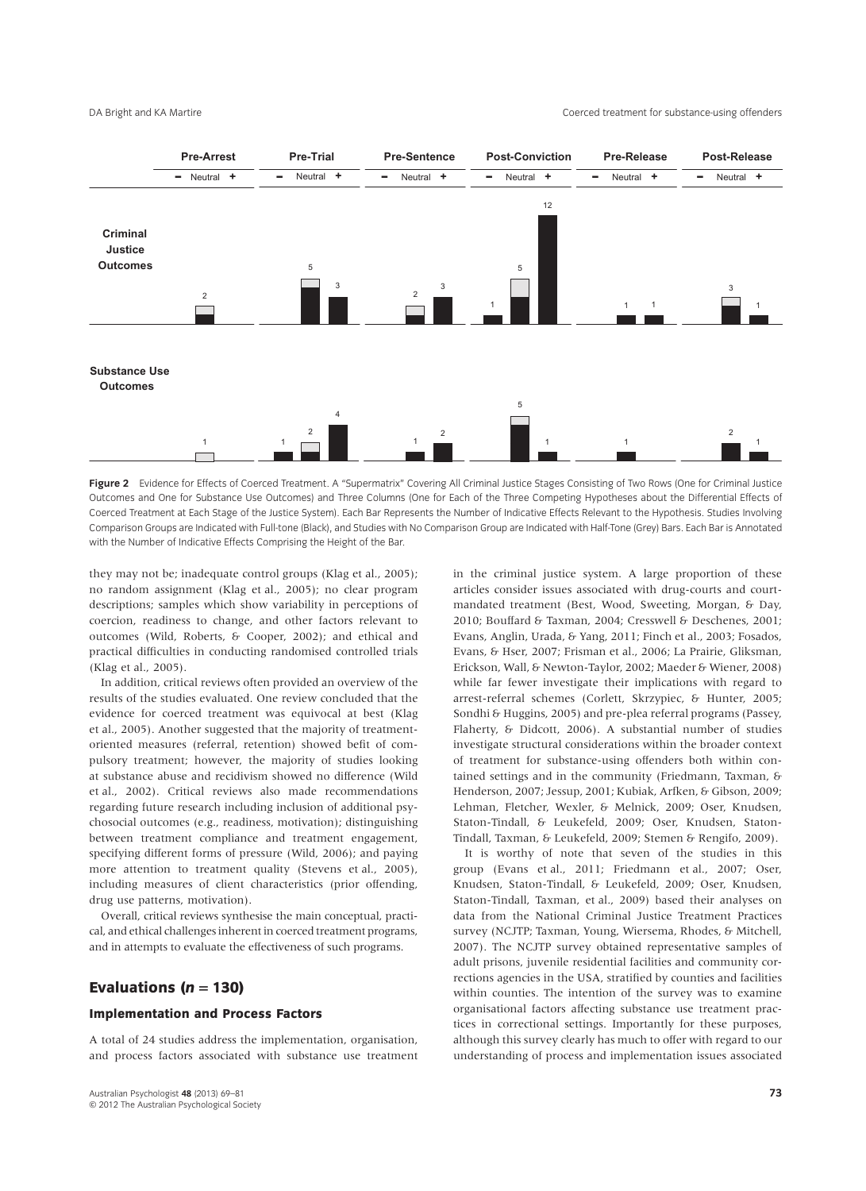

Figure 2 Evidence for Effects of Coerced Treatment. A "Supermatrix" Covering All Criminal Justice Stages Consisting of Two Rows (One for Criminal Justice Outcomes and One for Substance Use Outcomes) and Three Columns (One for Each of the Three Competing Hypotheses about the Differential Effects of Coerced Treatment at Each Stage of the Justice System). Each Bar Represents the Number of Indicative Effects Relevant to the Hypothesis. Studies Involving Comparison Groups are Indicated with Full-tone (Black), and Studies with No Comparison Group are Indicated with Half-Tone (Grey) Bars. Each Bar is Annotated with the Number of Indicative Effects Comprising the Height of the Bar.

they may not be; inadequate control groups (Klag et al., 2005); no random assignment (Klag et al., 2005); no clear program descriptions; samples which show variability in perceptions of coercion, readiness to change, and other factors relevant to outcomes (Wild, Roberts, & Cooper, 2002); and ethical and practical difficulties in conducting randomised controlled trials (Klag et al., 2005).

In addition, critical reviews often provided an overview of the results of the studies evaluated. One review concluded that the evidence for coerced treatment was equivocal at best (Klag et al., 2005). Another suggested that the majority of treatmentoriented measures (referral, retention) showed befit of compulsory treatment; however, the majority of studies looking at substance abuse and recidivism showed no difference (Wild et al., 2002). Critical reviews also made recommendations regarding future research including inclusion of additional psychosocial outcomes (e.g., readiness, motivation); distinguishing between treatment compliance and treatment engagement, specifying different forms of pressure (Wild, 2006); and paying more attention to treatment quality (Stevens et al., 2005), including measures of client characteristics (prior offending, drug use patterns, motivation).

Overall, critical reviews synthesise the main conceptual, practical, and ethical challenges inherent in coerced treatment programs, and in attempts to evaluate the effectiveness of such programs.

### **Evaluations (***n* = **130)**

### **Implementation and Process Factors**

A total of 24 studies address the implementation, organisation, and process factors associated with substance use treatment in the criminal justice system. A large proportion of these articles consider issues associated with drug-courts and courtmandated treatment (Best, Wood, Sweeting, Morgan, & Day, 2010; Bouffard & Taxman, 2004; Cresswell & Deschenes, 2001; Evans, Anglin, Urada, & Yang, 2011; Finch et al., 2003; Fosados, Evans, & Hser, 2007; Frisman et al., 2006; La Prairie, Gliksman, Erickson, Wall, & Newton-Taylor, 2002; Maeder & Wiener, 2008) while far fewer investigate their implications with regard to arrest-referral schemes (Corlett, Skrzypiec, & Hunter, 2005; Sondhi & Huggins, 2005) and pre-plea referral programs (Passey, Flaherty, & Didcott, 2006). A substantial number of studies investigate structural considerations within the broader context of treatment for substance-using offenders both within contained settings and in the community (Friedmann, Taxman, & Henderson, 2007; Jessup, 2001; Kubiak, Arfken, & Gibson, 2009; Lehman, Fletcher, Wexler, & Melnick, 2009; Oser, Knudsen, Staton-Tindall, & Leukefeld, 2009; Oser, Knudsen, Staton-Tindall, Taxman, & Leukefeld, 2009; Stemen & Rengifo, 2009).

It is worthy of note that seven of the studies in this group (Evans et al., 2011; Friedmann et al., 2007; Oser, Knudsen, Staton-Tindall, & Leukefeld, 2009; Oser, Knudsen, Staton-Tindall, Taxman, et al., 2009) based their analyses on data from the National Criminal Justice Treatment Practices survey (NCJTP; Taxman, Young, Wiersema, Rhodes, & Mitchell, 2007). The NCJTP survey obtained representative samples of adult prisons, juvenile residential facilities and community corrections agencies in the USA, stratified by counties and facilities within counties. The intention of the survey was to examine organisational factors affecting substance use treatment practices in correctional settings. Importantly for these purposes, although this survey clearly has much to offer with regard to our understanding of process and implementation issues associated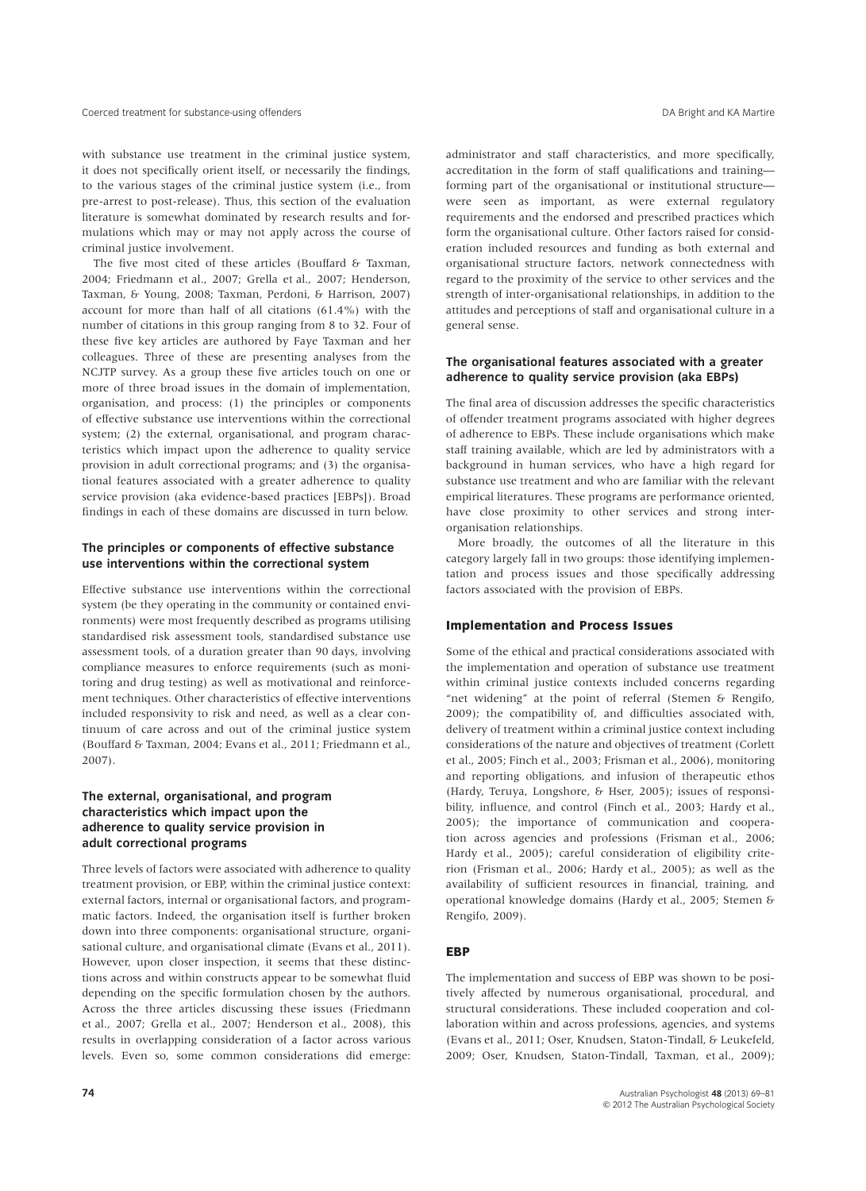with substance use treatment in the criminal justice system, it does not specifically orient itself, or necessarily the findings, to the various stages of the criminal justice system (i.e., from pre-arrest to post-release). Thus, this section of the evaluation literature is somewhat dominated by research results and formulations which may or may not apply across the course of criminal justice involvement.

The five most cited of these articles (Bouffard & Taxman, 2004; Friedmann et al., 2007; Grella et al., 2007; Henderson, Taxman, & Young, 2008; Taxman, Perdoni, & Harrison, 2007) account for more than half of all citations (61.4%) with the number of citations in this group ranging from 8 to 32. Four of these five key articles are authored by Faye Taxman and her colleagues. Three of these are presenting analyses from the NCJTP survey. As a group these five articles touch on one or more of three broad issues in the domain of implementation, organisation, and process: (1) the principles or components of effective substance use interventions within the correctional system; (2) the external, organisational, and program characteristics which impact upon the adherence to quality service provision in adult correctional programs; and (3) the organisational features associated with a greater adherence to quality service provision (aka evidence-based practices [EBPs]). Broad findings in each of these domains are discussed in turn below.

### **The principles or components of effective substance use interventions within the correctional system**

Effective substance use interventions within the correctional system (be they operating in the community or contained environments) were most frequently described as programs utilising standardised risk assessment tools, standardised substance use assessment tools, of a duration greater than 90 days, involving compliance measures to enforce requirements (such as monitoring and drug testing) as well as motivational and reinforcement techniques. Other characteristics of effective interventions included responsivity to risk and need, as well as a clear continuum of care across and out of the criminal justice system (Bouffard & Taxman, 2004; Evans et al., 2011; Friedmann et al., 2007).

### **The external, organisational, and program characteristics which impact upon the adherence to quality service provision in adult correctional programs**

Three levels of factors were associated with adherence to quality treatment provision, or EBP, within the criminal justice context: external factors, internal or organisational factors, and programmatic factors. Indeed, the organisation itself is further broken down into three components: organisational structure, organisational culture, and organisational climate (Evans et al., 2011). However, upon closer inspection, it seems that these distinctions across and within constructs appear to be somewhat fluid depending on the specific formulation chosen by the authors. Across the three articles discussing these issues (Friedmann et al., 2007; Grella et al., 2007; Henderson et al., 2008), this results in overlapping consideration of a factor across various levels. Even so, some common considerations did emerge:

administrator and staff characteristics, and more specifically, accreditation in the form of staff qualifications and training forming part of the organisational or institutional structure were seen as important, as were external regulatory requirements and the endorsed and prescribed practices which form the organisational culture. Other factors raised for consideration included resources and funding as both external and organisational structure factors, network connectedness with regard to the proximity of the service to other services and the strength of inter-organisational relationships, in addition to the attitudes and perceptions of staff and organisational culture in a general sense.

### **The organisational features associated with a greater adherence to quality service provision (aka EBPs)**

The final area of discussion addresses the specific characteristics of offender treatment programs associated with higher degrees of adherence to EBPs. These include organisations which make staff training available, which are led by administrators with a background in human services, who have a high regard for substance use treatment and who are familiar with the relevant empirical literatures. These programs are performance oriented, have close proximity to other services and strong interorganisation relationships.

More broadly, the outcomes of all the literature in this category largely fall in two groups: those identifying implementation and process issues and those specifically addressing factors associated with the provision of EBPs.

#### **Implementation and Process Issues**

Some of the ethical and practical considerations associated with the implementation and operation of substance use treatment within criminal justice contexts included concerns regarding "net widening" at the point of referral (Stemen & Rengifo, 2009); the compatibility of, and difficulties associated with, delivery of treatment within a criminal justice context including considerations of the nature and objectives of treatment (Corlett et al., 2005; Finch et al., 2003; Frisman et al., 2006), monitoring and reporting obligations, and infusion of therapeutic ethos (Hardy, Teruya, Longshore, & Hser, 2005); issues of responsibility, influence, and control (Finch et al., 2003; Hardy et al., 2005); the importance of communication and cooperation across agencies and professions (Frisman et al., 2006; Hardy et al., 2005); careful consideration of eligibility criterion (Frisman et al., 2006; Hardy et al., 2005); as well as the availability of sufficient resources in financial, training, and operational knowledge domains (Hardy et al., 2005; Stemen & Rengifo, 2009).

#### **EBP**

The implementation and success of EBP was shown to be positively affected by numerous organisational, procedural, and structural considerations. These included cooperation and collaboration within and across professions, agencies, and systems (Evans et al., 2011; Oser, Knudsen, Staton-Tindall, & Leukefeld, 2009; Oser, Knudsen, Staton-Tindall, Taxman, et al., 2009);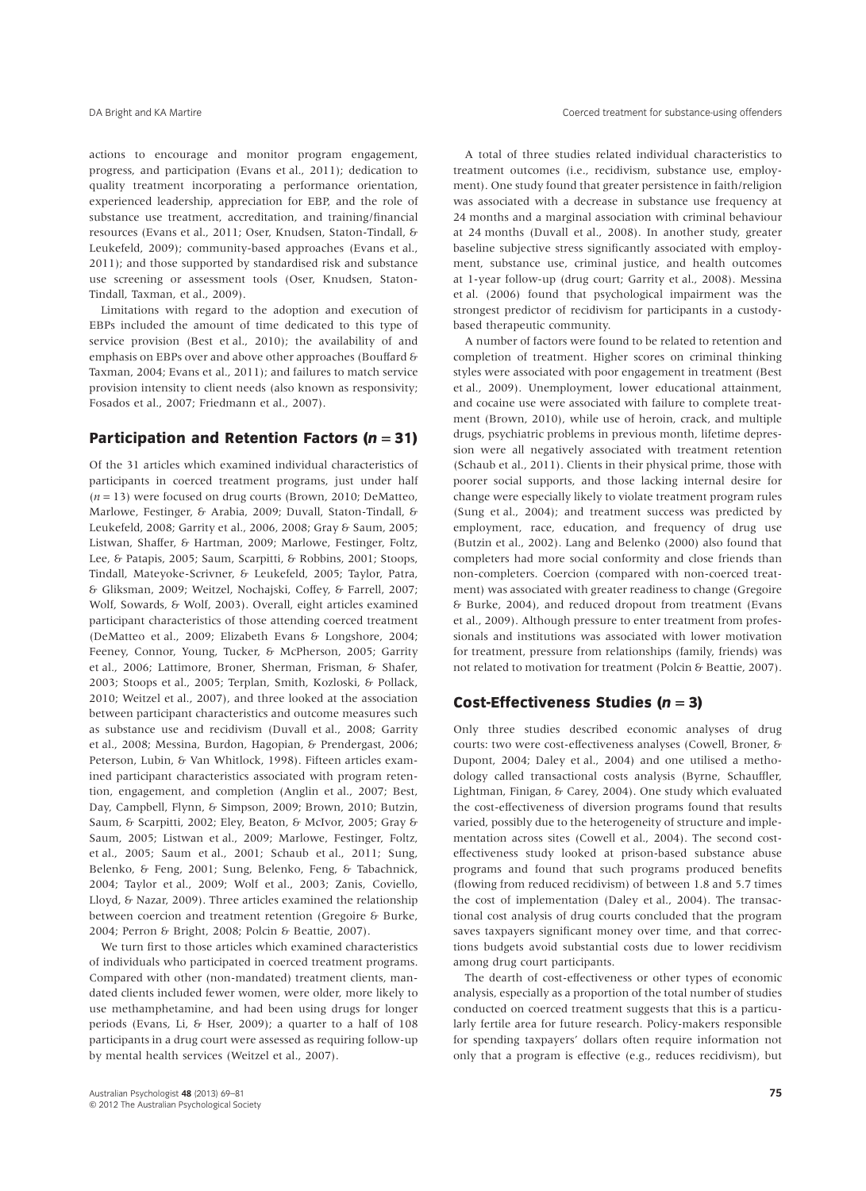actions to encourage and monitor program engagement, progress, and participation (Evans et al., 2011); dedication to quality treatment incorporating a performance orientation, experienced leadership, appreciation for EBP, and the role of substance use treatment, accreditation, and training/financial resources (Evans et al., 2011; Oser, Knudsen, Staton-Tindall, & Leukefeld, 2009); community-based approaches (Evans et al., 2011); and those supported by standardised risk and substance use screening or assessment tools (Oser, Knudsen, Staton-Tindall, Taxman, et al., 2009).

Limitations with regard to the adoption and execution of EBPs included the amount of time dedicated to this type of service provision (Best et al., 2010); the availability of and emphasis on EBPs over and above other approaches (Bouffard & Taxman, 2004; Evans et al., 2011); and failures to match service provision intensity to client needs (also known as responsivity; Fosados et al., 2007; Friedmann et al., 2007).

### **Participation and Retention Factors (***n* = **31)**

Of the 31 articles which examined individual characteristics of participants in coerced treatment programs, just under half (*n* = 13) were focused on drug courts (Brown, 2010; DeMatteo, Marlowe, Festinger, & Arabia, 2009; Duvall, Staton-Tindall, & Leukefeld, 2008; Garrity et al., 2006, 2008; Gray & Saum, 2005; Listwan, Shaffer, & Hartman, 2009; Marlowe, Festinger, Foltz, Lee, & Patapis, 2005; Saum, Scarpitti, & Robbins, 2001; Stoops, Tindall, Mateyoke-Scrivner, & Leukefeld, 2005; Taylor, Patra, & Gliksman, 2009; Weitzel, Nochajski, Coffey, & Farrell, 2007; Wolf, Sowards, & Wolf, 2003). Overall, eight articles examined participant characteristics of those attending coerced treatment (DeMatteo et al., 2009; Elizabeth Evans & Longshore, 2004; Feeney, Connor, Young, Tucker, & McPherson, 2005; Garrity et al., 2006; Lattimore, Broner, Sherman, Frisman, & Shafer, 2003; Stoops et al., 2005; Terplan, Smith, Kozloski, & Pollack, 2010; Weitzel et al., 2007), and three looked at the association between participant characteristics and outcome measures such as substance use and recidivism (Duvall et al., 2008; Garrity et al., 2008; Messina, Burdon, Hagopian, & Prendergast, 2006; Peterson, Lubin, & Van Whitlock, 1998). Fifteen articles examined participant characteristics associated with program retention, engagement, and completion (Anglin et al., 2007; Best, Day, Campbell, Flynn, & Simpson, 2009; Brown, 2010; Butzin, Saum, & Scarpitti, 2002; Eley, Beaton, & McIvor, 2005; Gray & Saum, 2005; Listwan et al., 2009; Marlowe, Festinger, Foltz, et al., 2005; Saum et al., 2001; Schaub et al., 2011; Sung, Belenko, & Feng, 2001; Sung, Belenko, Feng, & Tabachnick, 2004; Taylor et al., 2009; Wolf et al., 2003; Zanis, Coviello, Lloyd, & Nazar, 2009). Three articles examined the relationship between coercion and treatment retention (Gregoire & Burke, 2004; Perron & Bright, 2008; Polcin & Beattie, 2007).

We turn first to those articles which examined characteristics of individuals who participated in coerced treatment programs. Compared with other (non-mandated) treatment clients, mandated clients included fewer women, were older, more likely to use methamphetamine, and had been using drugs for longer periods (Evans, Li, & Hser, 2009); a quarter to a half of 108 participants in a drug court were assessed as requiring follow-up by mental health services (Weitzel et al., 2007).

A total of three studies related individual characteristics to treatment outcomes (i.e., recidivism, substance use, employment). One study found that greater persistence in faith/religion was associated with a decrease in substance use frequency at 24 months and a marginal association with criminal behaviour at 24 months (Duvall et al., 2008). In another study, greater baseline subjective stress significantly associated with employment, substance use, criminal justice, and health outcomes at 1-year follow-up (drug court; Garrity et al., 2008). Messina et al. (2006) found that psychological impairment was the strongest predictor of recidivism for participants in a custodybased therapeutic community.

A number of factors were found to be related to retention and completion of treatment. Higher scores on criminal thinking styles were associated with poor engagement in treatment (Best et al., 2009). Unemployment, lower educational attainment, and cocaine use were associated with failure to complete treatment (Brown, 2010), while use of heroin, crack, and multiple drugs, psychiatric problems in previous month, lifetime depression were all negatively associated with treatment retention (Schaub et al., 2011). Clients in their physical prime, those with poorer social supports, and those lacking internal desire for change were especially likely to violate treatment program rules (Sung et al., 2004); and treatment success was predicted by employment, race, education, and frequency of drug use (Butzin et al., 2002). Lang and Belenko (2000) also found that completers had more social conformity and close friends than non-completers. Coercion (compared with non-coerced treatment) was associated with greater readiness to change (Gregoire & Burke, 2004), and reduced dropout from treatment (Evans et al., 2009). Although pressure to enter treatment from professionals and institutions was associated with lower motivation for treatment, pressure from relationships (family, friends) was not related to motivation for treatment (Polcin & Beattie, 2007).

### **Cost-Effectiveness Studies (***n* = **3)**

Only three studies described economic analyses of drug courts: two were cost-effectiveness analyses (Cowell, Broner, & Dupont, 2004; Daley et al., 2004) and one utilised a methodology called transactional costs analysis (Byrne, Schauffler, Lightman, Finigan, & Carey, 2004). One study which evaluated the cost-effectiveness of diversion programs found that results varied, possibly due to the heterogeneity of structure and implementation across sites (Cowell et al., 2004). The second costeffectiveness study looked at prison-based substance abuse programs and found that such programs produced benefits (flowing from reduced recidivism) of between 1.8 and 5.7 times the cost of implementation (Daley et al., 2004). The transactional cost analysis of drug courts concluded that the program saves taxpayers significant money over time, and that corrections budgets avoid substantial costs due to lower recidivism among drug court participants.

The dearth of cost-effectiveness or other types of economic analysis, especially as a proportion of the total number of studies conducted on coerced treatment suggests that this is a particularly fertile area for future research. Policy-makers responsible for spending taxpayers' dollars often require information not only that a program is effective (e.g., reduces recidivism), but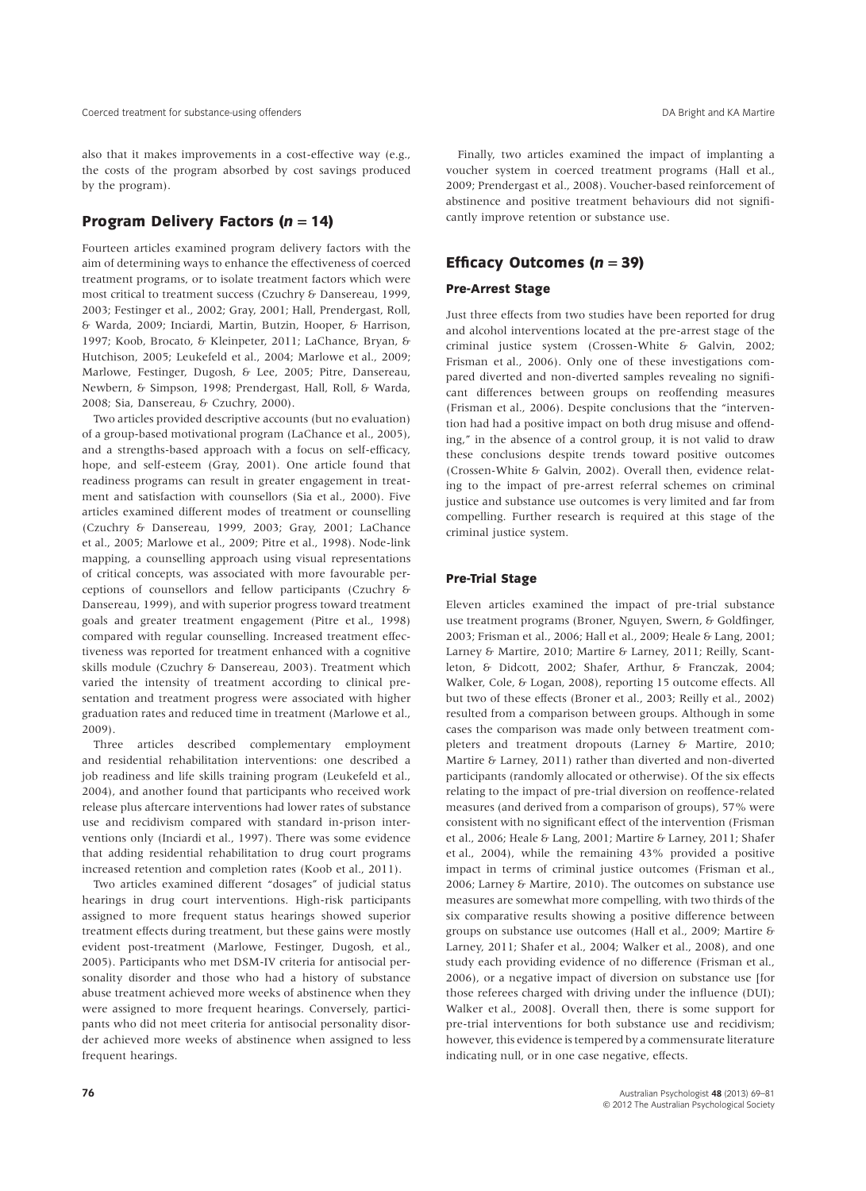also that it makes improvements in a cost-effective way (e.g., the costs of the program absorbed by cost savings produced by the program).

### **Program Delivery Factors (***n* = **14)**

Fourteen articles examined program delivery factors with the aim of determining ways to enhance the effectiveness of coerced treatment programs, or to isolate treatment factors which were most critical to treatment success (Czuchry & Dansereau, 1999, 2003; Festinger et al., 2002; Gray, 2001; Hall, Prendergast, Roll, & Warda, 2009; Inciardi, Martin, Butzin, Hooper, & Harrison, 1997; Koob, Brocato, & Kleinpeter, 2011; LaChance, Bryan, & Hutchison, 2005; Leukefeld et al., 2004; Marlowe et al., 2009; Marlowe, Festinger, Dugosh, & Lee, 2005; Pitre, Dansereau, Newbern, & Simpson, 1998; Prendergast, Hall, Roll, & Warda, 2008; Sia, Dansereau, & Czuchry, 2000).

Two articles provided descriptive accounts (but no evaluation) of a group-based motivational program (LaChance et al., 2005), and a strengths-based approach with a focus on self-efficacy, hope, and self-esteem (Gray, 2001). One article found that readiness programs can result in greater engagement in treatment and satisfaction with counsellors (Sia et al., 2000). Five articles examined different modes of treatment or counselling (Czuchry & Dansereau, 1999, 2003; Gray, 2001; LaChance et al., 2005; Marlowe et al., 2009; Pitre et al., 1998). Node-link mapping, a counselling approach using visual representations of critical concepts, was associated with more favourable perceptions of counsellors and fellow participants (Czuchry & Dansereau, 1999), and with superior progress toward treatment goals and greater treatment engagement (Pitre et al., 1998) compared with regular counselling. Increased treatment effectiveness was reported for treatment enhanced with a cognitive skills module (Czuchry & Dansereau, 2003). Treatment which varied the intensity of treatment according to clinical presentation and treatment progress were associated with higher graduation rates and reduced time in treatment (Marlowe et al., 2009).

Three articles described complementary employment and residential rehabilitation interventions: one described a job readiness and life skills training program (Leukefeld et al., 2004), and another found that participants who received work release plus aftercare interventions had lower rates of substance use and recidivism compared with standard in-prison interventions only (Inciardi et al., 1997). There was some evidence that adding residential rehabilitation to drug court programs increased retention and completion rates (Koob et al., 2011).

Two articles examined different "dosages" of judicial status hearings in drug court interventions. High-risk participants assigned to more frequent status hearings showed superior treatment effects during treatment, but these gains were mostly evident post-treatment (Marlowe, Festinger, Dugosh, et al., 2005). Participants who met DSM-IV criteria for antisocial personality disorder and those who had a history of substance abuse treatment achieved more weeks of abstinence when they were assigned to more frequent hearings. Conversely, participants who did not meet criteria for antisocial personality disorder achieved more weeks of abstinence when assigned to less frequent hearings.

Finally, two articles examined the impact of implanting a voucher system in coerced treatment programs (Hall et al., 2009; Prendergast et al., 2008). Voucher-based reinforcement of abstinence and positive treatment behaviours did not significantly improve retention or substance use.

### **Efficacy Outcomes (***n* = **39)**

#### **Pre-Arrest Stage**

Just three effects from two studies have been reported for drug and alcohol interventions located at the pre-arrest stage of the criminal justice system (Crossen-White & Galvin, 2002; Frisman et al., 2006). Only one of these investigations compared diverted and non-diverted samples revealing no significant differences between groups on reoffending measures (Frisman et al., 2006). Despite conclusions that the "intervention had had a positive impact on both drug misuse and offending," in the absence of a control group, it is not valid to draw these conclusions despite trends toward positive outcomes (Crossen-White & Galvin, 2002). Overall then, evidence relating to the impact of pre-arrest referral schemes on criminal justice and substance use outcomes is very limited and far from compelling. Further research is required at this stage of the criminal justice system.

#### **Pre-Trial Stage**

Eleven articles examined the impact of pre-trial substance use treatment programs (Broner, Nguyen, Swern, & Goldfinger, 2003; Frisman et al., 2006; Hall et al., 2009; Heale & Lang, 2001; Larney & Martire, 2010; Martire & Larney, 2011; Reilly, Scantleton, & Didcott, 2002; Shafer, Arthur, & Franczak, 2004; Walker, Cole, & Logan, 2008), reporting 15 outcome effects. All but two of these effects (Broner et al., 2003; Reilly et al., 2002) resulted from a comparison between groups. Although in some cases the comparison was made only between treatment completers and treatment dropouts (Larney & Martire, 2010; Martire & Larney, 2011) rather than diverted and non-diverted participants (randomly allocated or otherwise). Of the six effects relating to the impact of pre-trial diversion on reoffence-related measures (and derived from a comparison of groups), 57% were consistent with no significant effect of the intervention (Frisman et al., 2006; Heale & Lang, 2001; Martire & Larney, 2011; Shafer et al., 2004), while the remaining 43% provided a positive impact in terms of criminal justice outcomes (Frisman et al., 2006; Larney & Martire, 2010). The outcomes on substance use measures are somewhat more compelling, with two thirds of the six comparative results showing a positive difference between groups on substance use outcomes (Hall et al., 2009; Martire & Larney, 2011; Shafer et al., 2004; Walker et al., 2008), and one study each providing evidence of no difference (Frisman et al., 2006), or a negative impact of diversion on substance use [for those referees charged with driving under the influence (DUI); Walker et al., 2008]. Overall then, there is some support for pre-trial interventions for both substance use and recidivism; however, this evidence is tempered by a commensurate literature indicating null, or in one case negative, effects.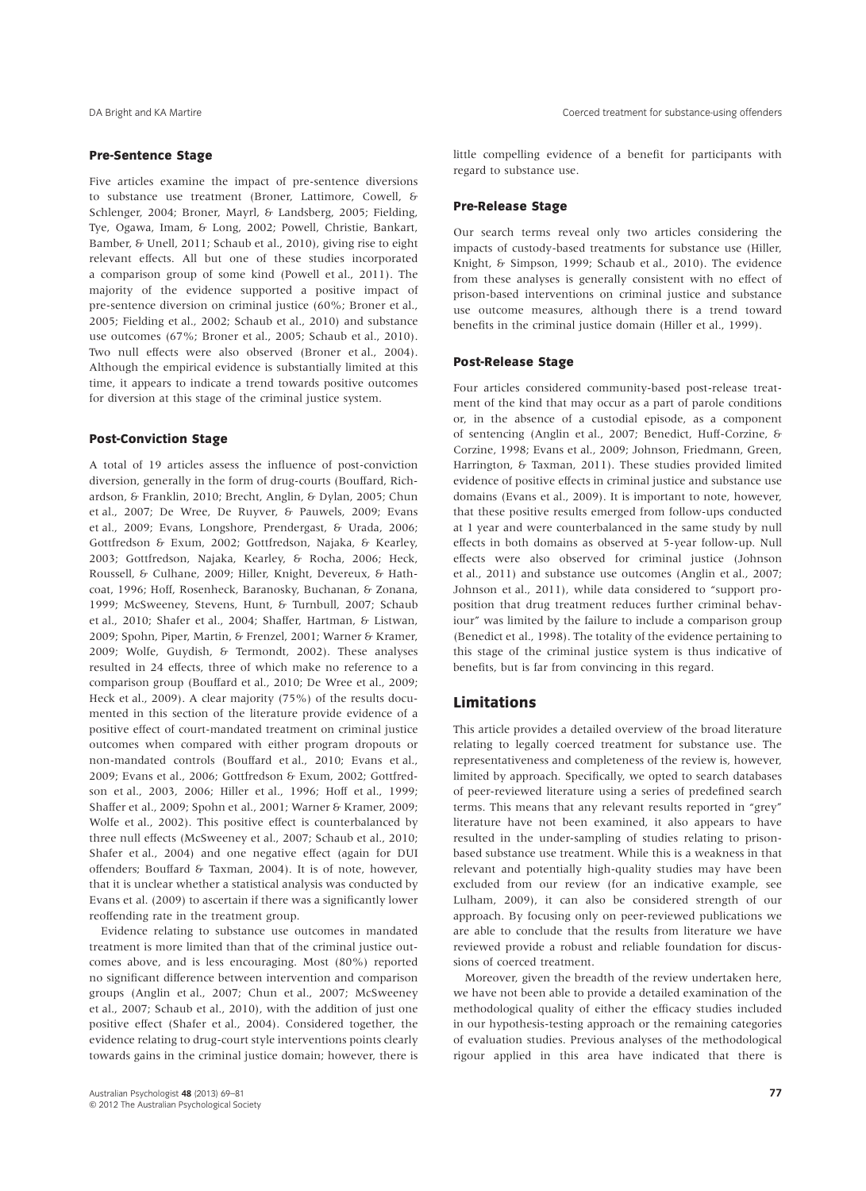#### **Pre-Sentence Stage**

Five articles examine the impact of pre-sentence diversions to substance use treatment (Broner, Lattimore, Cowell, & Schlenger, 2004; Broner, Mayrl, & Landsberg, 2005; Fielding, Tye, Ogawa, Imam, & Long, 2002; Powell, Christie, Bankart, Bamber, & Unell, 2011; Schaub et al., 2010), giving rise to eight relevant effects. All but one of these studies incorporated a comparison group of some kind (Powell et al., 2011). The majority of the evidence supported a positive impact of pre-sentence diversion on criminal justice (60%; Broner et al., 2005; Fielding et al., 2002; Schaub et al., 2010) and substance use outcomes (67%; Broner et al., 2005; Schaub et al., 2010). Two null effects were also observed (Broner et al., 2004). Although the empirical evidence is substantially limited at this time, it appears to indicate a trend towards positive outcomes for diversion at this stage of the criminal justice system.

#### **Post-Conviction Stage**

A total of 19 articles assess the influence of post-conviction diversion, generally in the form of drug-courts (Bouffard, Richardson, & Franklin, 2010; Brecht, Anglin, & Dylan, 2005; Chun et al., 2007; De Wree, De Ruyver, & Pauwels, 2009; Evans et al., 2009; Evans, Longshore, Prendergast, & Urada, 2006; Gottfredson & Exum, 2002; Gottfredson, Najaka, & Kearley, 2003; Gottfredson, Najaka, Kearley, & Rocha, 2006; Heck, Roussell, & Culhane, 2009; Hiller, Knight, Devereux, & Hathcoat, 1996; Hoff, Rosenheck, Baranosky, Buchanan, & Zonana, 1999; McSweeney, Stevens, Hunt, & Turnbull, 2007; Schaub et al., 2010; Shafer et al., 2004; Shaffer, Hartman, & Listwan, 2009; Spohn, Piper, Martin, & Frenzel, 2001; Warner & Kramer, 2009; Wolfe, Guydish, & Termondt, 2002). These analyses resulted in 24 effects, three of which make no reference to a comparison group (Bouffard et al., 2010; De Wree et al., 2009; Heck et al., 2009). A clear majority (75%) of the results documented in this section of the literature provide evidence of a positive effect of court-mandated treatment on criminal justice outcomes when compared with either program dropouts or non-mandated controls (Bouffard et al., 2010; Evans et al., 2009; Evans et al., 2006; Gottfredson & Exum, 2002; Gottfredson et al., 2003, 2006; Hiller et al., 1996; Hoff et al., 1999; Shaffer et al., 2009; Spohn et al., 2001; Warner & Kramer, 2009; Wolfe et al., 2002). This positive effect is counterbalanced by three null effects (McSweeney et al., 2007; Schaub et al., 2010; Shafer et al., 2004) and one negative effect (again for DUI offenders; Bouffard & Taxman, 2004). It is of note, however, that it is unclear whether a statistical analysis was conducted by Evans et al. (2009) to ascertain if there was a significantly lower reoffending rate in the treatment group.

Evidence relating to substance use outcomes in mandated treatment is more limited than that of the criminal justice outcomes above, and is less encouraging. Most (80%) reported no significant difference between intervention and comparison groups (Anglin et al., 2007; Chun et al., 2007; McSweeney et al., 2007; Schaub et al., 2010), with the addition of just one positive effect (Shafer et al., 2004). Considered together, the evidence relating to drug-court style interventions points clearly towards gains in the criminal justice domain; however, there is

little compelling evidence of a benefit for participants with regard to substance use.

#### **Pre-Release Stage**

Our search terms reveal only two articles considering the impacts of custody-based treatments for substance use (Hiller, Knight, & Simpson, 1999; Schaub et al., 2010). The evidence from these analyses is generally consistent with no effect of prison-based interventions on criminal justice and substance use outcome measures, although there is a trend toward benefits in the criminal justice domain (Hiller et al., 1999).

#### **Post-Release Stage**

Four articles considered community-based post-release treatment of the kind that may occur as a part of parole conditions or, in the absence of a custodial episode, as a component of sentencing (Anglin et al., 2007; Benedict, Huff-Corzine, & Corzine, 1998; Evans et al., 2009; Johnson, Friedmann, Green, Harrington, & Taxman, 2011). These studies provided limited evidence of positive effects in criminal justice and substance use domains (Evans et al., 2009). It is important to note, however, that these positive results emerged from follow-ups conducted at 1 year and were counterbalanced in the same study by null effects in both domains as observed at 5-year follow-up. Null effects were also observed for criminal justice (Johnson et al., 2011) and substance use outcomes (Anglin et al., 2007; Johnson et al., 2011), while data considered to "support proposition that drug treatment reduces further criminal behaviour" was limited by the failure to include a comparison group (Benedict et al., 1998). The totality of the evidence pertaining to this stage of the criminal justice system is thus indicative of benefits, but is far from convincing in this regard.

### **Limitations**

This article provides a detailed overview of the broad literature relating to legally coerced treatment for substance use. The representativeness and completeness of the review is, however, limited by approach. Specifically, we opted to search databases of peer-reviewed literature using a series of predefined search terms. This means that any relevant results reported in "grey" literature have not been examined, it also appears to have resulted in the under-sampling of studies relating to prisonbased substance use treatment. While this is a weakness in that relevant and potentially high-quality studies may have been excluded from our review (for an indicative example, see Lulham, 2009), it can also be considered strength of our approach. By focusing only on peer-reviewed publications we are able to conclude that the results from literature we have reviewed provide a robust and reliable foundation for discussions of coerced treatment.

Moreover, given the breadth of the review undertaken here, we have not been able to provide a detailed examination of the methodological quality of either the efficacy studies included in our hypothesis-testing approach or the remaining categories of evaluation studies. Previous analyses of the methodological rigour applied in this area have indicated that there is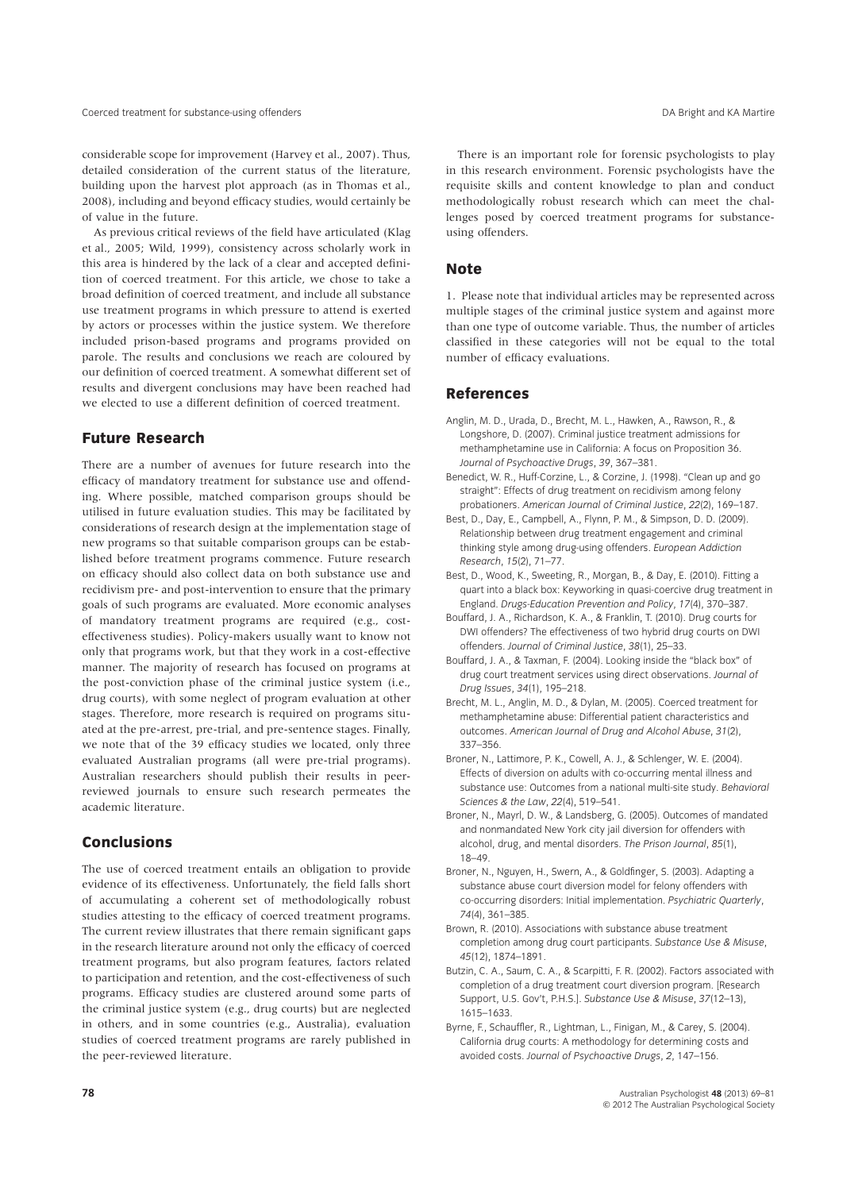Coerced treatment for substance-using offenders **DA Bright and KA Martire** DA Bright and KA Martire

considerable scope for improvement (Harvey et al., 2007). Thus, detailed consideration of the current status of the literature, building upon the harvest plot approach (as in Thomas et al., 2008), including and beyond efficacy studies, would certainly be of value in the future.

As previous critical reviews of the field have articulated (Klag et al., 2005; Wild, 1999), consistency across scholarly work in this area is hindered by the lack of a clear and accepted definition of coerced treatment. For this article, we chose to take a broad definition of coerced treatment, and include all substance use treatment programs in which pressure to attend is exerted by actors or processes within the justice system. We therefore included prison-based programs and programs provided on parole. The results and conclusions we reach are coloured by our definition of coerced treatment. A somewhat different set of results and divergent conclusions may have been reached had we elected to use a different definition of coerced treatment.

### **Future Research**

There are a number of avenues for future research into the efficacy of mandatory treatment for substance use and offending. Where possible, matched comparison groups should be utilised in future evaluation studies. This may be facilitated by considerations of research design at the implementation stage of new programs so that suitable comparison groups can be established before treatment programs commence. Future research on efficacy should also collect data on both substance use and recidivism pre- and post-intervention to ensure that the primary goals of such programs are evaluated. More economic analyses of mandatory treatment programs are required (e.g., costeffectiveness studies). Policy-makers usually want to know not only that programs work, but that they work in a cost-effective manner. The majority of research has focused on programs at the post-conviction phase of the criminal justice system (i.e., drug courts), with some neglect of program evaluation at other stages. Therefore, more research is required on programs situated at the pre-arrest, pre-trial, and pre-sentence stages. Finally, we note that of the 39 efficacy studies we located, only three evaluated Australian programs (all were pre-trial programs). Australian researchers should publish their results in peerreviewed journals to ensure such research permeates the academic literature.

### **Conclusions**

The use of coerced treatment entails an obligation to provide evidence of its effectiveness. Unfortunately, the field falls short of accumulating a coherent set of methodologically robust studies attesting to the efficacy of coerced treatment programs. The current review illustrates that there remain significant gaps in the research literature around not only the efficacy of coerced treatment programs, but also program features, factors related to participation and retention, and the cost-effectiveness of such programs. Efficacy studies are clustered around some parts of the criminal justice system (e.g., drug courts) but are neglected in others, and in some countries (e.g., Australia), evaluation studies of coerced treatment programs are rarely published in the peer-reviewed literature.

There is an important role for forensic psychologists to play in this research environment. Forensic psychologists have the requisite skills and content knowledge to plan and conduct methodologically robust research which can meet the challenges posed by coerced treatment programs for substanceusing offenders.

### **Note**

1. Please note that individual articles may be represented across multiple stages of the criminal justice system and against more than one type of outcome variable. Thus, the number of articles classified in these categories will not be equal to the total number of efficacy evaluations.

## **References**

- Anglin, M. D., Urada, D., Brecht, M. L., Hawken, A., Rawson, R., & Longshore, D. (2007). Criminal justice treatment admissions for methamphetamine use in California: A focus on Proposition 36. *Journal of Psychoactive Drugs*, *39*, 367–381.
- Benedict, W. R., Huff-Corzine, L., & Corzine, J. (1998). "Clean up and go straight": Effects of drug treatment on recidivism among felony probationers. *American Journal of Criminal Justice*, *22*(2), 169–187.
- Best, D., Day, E., Campbell, A., Flynn, P. M., & Simpson, D. D. (2009). Relationship between drug treatment engagement and criminal thinking style among drug-using offenders. *European Addiction Research*, *15*(2), 71–77.
- Best, D., Wood, K., Sweeting, R., Morgan, B., & Day, E. (2010). Fitting a quart into a black box: Keyworking in quasi-coercive drug treatment in England. *Drugs-Education Prevention and Policy*, *17*(4), 370–387.
- Bouffard, J. A., Richardson, K. A., & Franklin, T. (2010). Drug courts for DWI offenders? The effectiveness of two hybrid drug courts on DWI offenders. *Journal of Criminal Justice*, *38*(1), 25–33.
- Bouffard, J. A., & Taxman, F. (2004). Looking inside the "black box" of drug court treatment services using direct observations. *Journal of Drug Issues*, *34*(1), 195–218.
- Brecht, M. L., Anglin, M. D., & Dylan, M. (2005). Coerced treatment for methamphetamine abuse: Differential patient characteristics and outcomes. *American Journal of Drug and Alcohol Abuse*, *31*(2), 337–356.
- Broner, N., Lattimore, P. K., Cowell, A. J., & Schlenger, W. E. (2004). Effects of diversion on adults with co-occurring mental illness and substance use: Outcomes from a national multi-site study. *Behavioral Sciences & the Law*, *22*(4), 519–541.
- Broner, N., Mayrl, D. W., & Landsberg, G. (2005). Outcomes of mandated and nonmandated New York city jail diversion for offenders with alcohol, drug, and mental disorders. *The Prison Journal*, *85*(1), 18–49.
- Broner, N., Nguyen, H., Swern, A., & Goldfinger, S. (2003). Adapting a substance abuse court diversion model for felony offenders with co-occurring disorders: Initial implementation. *Psychiatric Quarterly*, *74*(4), 361–385.
- Brown, R. (2010). Associations with substance abuse treatment completion among drug court participants. *Substance Use & Misuse*, *45*(12), 1874–1891.
- Butzin, C. A., Saum, C. A., & Scarpitti, F. R. (2002). Factors associated with completion of a drug treatment court diversion program. [Research Support, U.S. Gov't, P.H.S.]. *Substance Use & Misuse*, *37*(12–13), 1615–1633.
- Byrne, F., Schauffler, R., Lightman, L., Finigan, M., & Carey, S. (2004). California drug courts: A methodology for determining costs and avoided costs. *Journal of Psychoactive Drugs*, *2*, 147–156.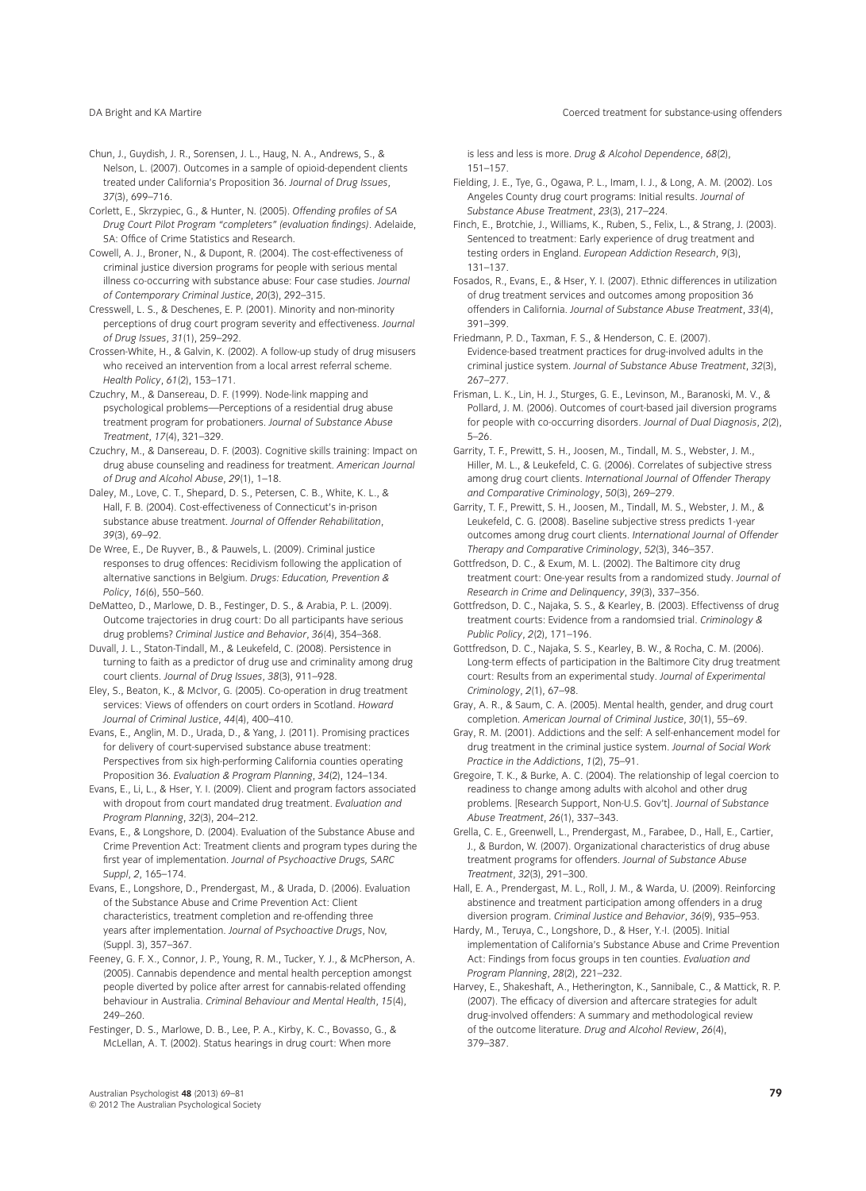Chun, J., Guydish, J. R., Sorensen, J. L., Haug, N. A., Andrews, S., & Nelson, L. (2007). Outcomes in a sample of opioid-dependent clients treated under California's Proposition 36. *Journal of Drug Issues*, *37*(3), 699–716.

Corlett, E., Skrzypiec, G., & Hunter, N. (2005). *Offending profiles of SA Drug Court Pilot Program "completers" (evaluation findings)*. Adelaide, SA: Office of Crime Statistics and Research.

Cowell, A. J., Broner, N., & Dupont, R. (2004). The cost-effectiveness of criminal justice diversion programs for people with serious mental illness co-occurring with substance abuse: Four case studies. *Journal of Contemporary Criminal Justice*, *20*(3), 292–315.

Cresswell, L. S., & Deschenes, E. P. (2001). Minority and non-minority perceptions of drug court program severity and effectiveness. *Journal of Drug Issues*, *31*(1), 259–292.

Crossen-White, H., & Galvin, K. (2002). A follow-up study of drug misusers who received an intervention from a local arrest referral scheme. *Health Policy*, *61*(2), 153–171.

Czuchry, M., & Dansereau, D. F. (1999). Node-link mapping and psychological problems—Perceptions of a residential drug abuse treatment program for probationers. *Journal of Substance Abuse Treatment*, *17*(4), 321–329.

Czuchry, M., & Dansereau, D. F. (2003). Cognitive skills training: Impact on drug abuse counseling and readiness for treatment. *American Journal of Drug and Alcohol Abuse*, *29*(1), 1–18.

Daley, M., Love, C. T., Shepard, D. S., Petersen, C. B., White, K. L., & Hall, F. B. (2004). Cost-effectiveness of Connecticut's in-prison substance abuse treatment. *Journal of Offender Rehabilitation*, *39*(3), 69–92.

De Wree, E., De Ruyver, B., & Pauwels, L. (2009). Criminal justice responses to drug offences: Recidivism following the application of alternative sanctions in Belgium. *Drugs: Education, Prevention & Policy*, *16*(6), 550–560.

DeMatteo, D., Marlowe, D. B., Festinger, D. S., & Arabia, P. L. (2009). Outcome trajectories in drug court: Do all participants have serious drug problems? *Criminal Justice and Behavior*, *36*(4), 354–368.

Duvall, J. L., Staton-Tindall, M., & Leukefeld, C. (2008). Persistence in turning to faith as a predictor of drug use and criminality among drug court clients. *Journal of Drug Issues*, *38*(3), 911–928.

Eley, S., Beaton, K., & McIvor, G. (2005). Co-operation in drug treatment services: Views of offenders on court orders in Scotland. *Howard Journal of Criminal Justice*, *44*(4), 400–410.

Evans, E., Anglin, M. D., Urada, D., & Yang, J. (2011). Promising practices for delivery of court-supervised substance abuse treatment: Perspectives from six high-performing California counties operating Proposition 36. *Evaluation & Program Planning*, *34*(2), 124–134.

Evans, E., Li, L., & Hser, Y. I. (2009). Client and program factors associated with dropout from court mandated drug treatment. *Evaluation and Program Planning*, *32*(3), 204–212.

Evans, E., & Longshore, D. (2004). Evaluation of the Substance Abuse and Crime Prevention Act: Treatment clients and program types during the first year of implementation. *Journal of Psychoactive Drugs, SARC Suppl*, *2*, 165–174.

Evans, E., Longshore, D., Prendergast, M., & Urada, D. (2006). Evaluation of the Substance Abuse and Crime Prevention Act: Client characteristics, treatment completion and re-offending three years after implementation. *Journal of Psychoactive Drugs*, Nov, (Suppl. 3), 357–367.

Feeney, G. F. X., Connor, J. P., Young, R. M., Tucker, Y. J., & McPherson, A. (2005). Cannabis dependence and mental health perception amongst people diverted by police after arrest for cannabis-related offending behaviour in Australia. *Criminal Behaviour and Mental Health*, *15*(4), 249–260.

Festinger, D. S., Marlowe, D. B., Lee, P. A., Kirby, K. C., Bovasso, G., & McLellan, A. T. (2002). Status hearings in drug court: When more

is less and less is more. *Drug & Alcohol Dependence*, *68*(2), 151–157.

Fielding, J. E., Tye, G., Ogawa, P. L., Imam, I. J., & Long, A. M. (2002). Los Angeles County drug court programs: Initial results. *Journal of Substance Abuse Treatment*, *23*(3), 217–224.

Finch, E., Brotchie, J., Williams, K., Ruben, S., Felix, L., & Strang, J. (2003). Sentenced to treatment: Early experience of drug treatment and testing orders in England. *European Addiction Research*, *9*(3), 131–137.

Fosados, R., Evans, E., & Hser, Y. I. (2007). Ethnic differences in utilization of drug treatment services and outcomes among proposition 36 offenders in California. *Journal of Substance Abuse Treatment*, *33*(4), 391–399.

Friedmann, P. D., Taxman, F. S., & Henderson, C. E. (2007). Evidence-based treatment practices for drug-involved adults in the criminal justice system. *Journal of Substance Abuse Treatment*, *32*(3), 267–277.

Frisman, L. K., Lin, H. J., Sturges, G. E., Levinson, M., Baranoski, M. V., & Pollard, J. M. (2006). Outcomes of court-based jail diversion programs for people with co-occurring disorders. *Journal of Dual Diagnosis*, *2*(2), 5–26.

Garrity, T. F., Prewitt, S. H., Joosen, M., Tindall, M. S., Webster, J. M., Hiller, M. L., & Leukefeld, C. G. (2006). Correlates of subjective stress among drug court clients. *International Journal of Offender Therapy and Comparative Criminology*, *50*(3), 269–279.

Garrity, T. F., Prewitt, S. H., Joosen, M., Tindall, M. S., Webster, J. M., & Leukefeld, C. G. (2008). Baseline subjective stress predicts 1-year outcomes among drug court clients. *International Journal of Offender Therapy and Comparative Criminology*, *52*(3), 346–357.

Gottfredson, D. C., & Exum, M. L. (2002). The Baltimore city drug treatment court: One-year results from a randomized study. *Journal of Research in Crime and Delinquency*, *39*(3), 337–356.

Gottfredson, D. C., Najaka, S. S., & Kearley, B. (2003). Effectivenss of drug treatment courts: Evidence from a randomsied trial. *Criminology & Public Policy*, *2*(2), 171–196.

Gottfredson, D. C., Najaka, S. S., Kearley, B. W., & Rocha, C. M. (2006). Long-term effects of participation in the Baltimore City drug treatment court: Results from an experimental study. *Journal of Experimental Criminology*, *2*(1), 67–98.

Gray, A. R., & Saum, C. A. (2005). Mental health, gender, and drug court completion. *American Journal of Criminal Justice*, *30*(1), 55–69.

Gray, R. M. (2001). Addictions and the self: A self-enhancement model for drug treatment in the criminal justice system. *Journal of Social Work Practice in the Addictions*, *1*(2), 75–91.

Gregoire, T. K., & Burke, A. C. (2004). The relationship of legal coercion to readiness to change among adults with alcohol and other drug problems. [Research Support, Non-U.S. Gov't]. *Journal of Substance Abuse Treatment*, *26*(1), 337–343.

Grella, C. E., Greenwell, L., Prendergast, M., Farabee, D., Hall, E., Cartier, J., & Burdon, W. (2007). Organizational characteristics of drug abuse treatment programs for offenders. *Journal of Substance Abuse Treatment*, *32*(3), 291–300.

Hall, E. A., Prendergast, M. L., Roll, J. M., & Warda, U. (2009). Reinforcing abstinence and treatment participation among offenders in a drug diversion program. *Criminal Justice and Behavior*, *36*(9), 935–953.

Hardy, M., Teruya, C., Longshore, D., & Hser, Y.-I. (2005). Initial implementation of California's Substance Abuse and Crime Prevention Act: Findings from focus groups in ten counties. *Evaluation and Program Planning*, *28*(2), 221–232.

Harvey, E., Shakeshaft, A., Hetherington, K., Sannibale, C., & Mattick, R. P. (2007). The efficacy of diversion and aftercare strategies for adult drug-involved offenders: A summary and methodological review of the outcome literature. *Drug and Alcohol Review*, *26*(4), 379–387.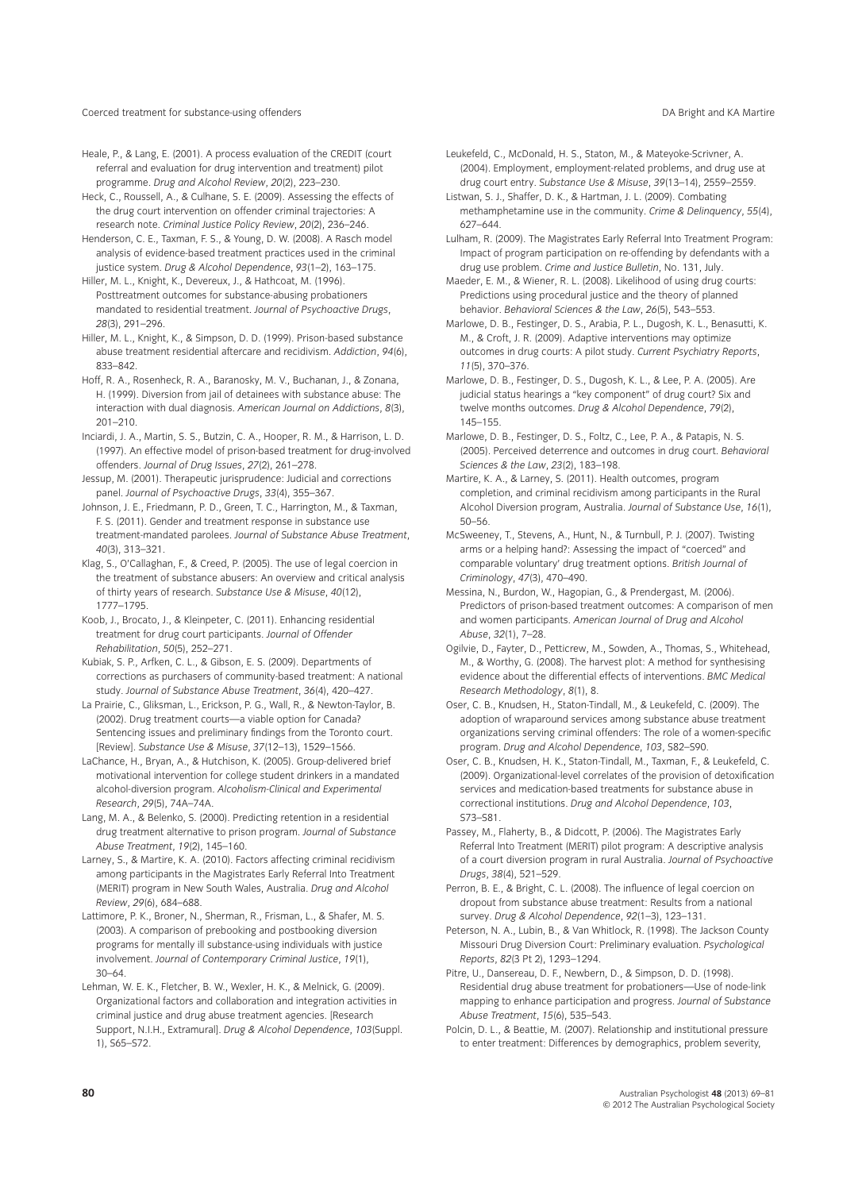Coerced treatment for substance-using offenders **DA Bright and KA Martire** DA Bright and KA Martire

Heale, P., & Lang, E. (2001). A process evaluation of the CREDIT (court referral and evaluation for drug intervention and treatment) pilot programme. *Drug and Alcohol Review*, *20*(2), 223–230.

Heck, C., Roussell, A., & Culhane, S. E. (2009). Assessing the effects of the drug court intervention on offender criminal trajectories: A research note. *Criminal Justice Policy Review*, *20*(2), 236–246.

Henderson, C. E., Taxman, F. S., & Young, D. W. (2008). A Rasch model analysis of evidence-based treatment practices used in the criminal justice system. *Drug & Alcohol Dependence*, *93*(1–2), 163–175.

Hiller, M. L., Knight, K., Devereux, J., & Hathcoat, M. (1996). Posttreatment outcomes for substance-abusing probationers mandated to residential treatment. *Journal of Psychoactive Drugs*, *28*(3), 291–296.

Hiller, M. L., Knight, K., & Simpson, D. D. (1999). Prison-based substance abuse treatment residential aftercare and recidivism. *Addiction*, *94*(6), 833–842.

Hoff, R. A., Rosenheck, R. A., Baranosky, M. V., Buchanan, J., & Zonana, H. (1999). Diversion from jail of detainees with substance abuse: The interaction with dual diagnosis. *American Journal on Addictions*, *8*(3), 201–210.

Inciardi, J. A., Martin, S. S., Butzin, C. A., Hooper, R. M., & Harrison, L. D. (1997). An effective model of prison-based treatment for drug-involved offenders. *Journal of Drug Issues*, *27*(2), 261–278.

Jessup, M. (2001). Therapeutic jurisprudence: Judicial and corrections panel. *Journal of Psychoactive Drugs*, *33*(4), 355–367.

Johnson, J. E., Friedmann, P. D., Green, T. C., Harrington, M., & Taxman, F. S. (2011). Gender and treatment response in substance use treatment-mandated parolees. *Journal of Substance Abuse Treatment*, *40*(3), 313–321.

Klag, S., O'Callaghan, F., & Creed, P. (2005). The use of legal coercion in the treatment of substance abusers: An overview and critical analysis of thirty years of research. *Substance Use & Misuse*, *40*(12), 1777–1795.

Koob, J., Brocato, J., & Kleinpeter, C. (2011). Enhancing residential treatment for drug court participants. *Journal of Offender Rehabilitation*, *50*(5), 252–271.

Kubiak, S. P., Arfken, C. L., & Gibson, E. S. (2009). Departments of corrections as purchasers of community-based treatment: A national study. *Journal of Substance Abuse Treatment*, *36*(4), 420–427.

La Prairie, C., Gliksman, L., Erickson, P. G., Wall, R., & Newton-Taylor, B. (2002). Drug treatment courts—a viable option for Canada? Sentencing issues and preliminary findings from the Toronto court. [Review]. *Substance Use & Misuse*, *37*(12–13), 1529–1566.

LaChance, H., Bryan, A., & Hutchison, K. (2005). Group-delivered brief motivational intervention for college student drinkers in a mandated alcohol-diversion program. *Alcoholism-Clinical and Experimental Research*, *29*(5), 74A–74A.

Lang, M. A., & Belenko, S. (2000). Predicting retention in a residential drug treatment alternative to prison program. *Journal of Substance Abuse Treatment*, *19*(2), 145–160.

Larney, S., & Martire, K. A. (2010). Factors affecting criminal recidivism among participants in the Magistrates Early Referral Into Treatment (MERIT) program in New South Wales, Australia. *Drug and Alcohol Review*, *29*(6), 684–688.

Lattimore, P. K., Broner, N., Sherman, R., Frisman, L., & Shafer, M. S. (2003). A comparison of prebooking and postbooking diversion programs for mentally ill substance-using individuals with justice involvement. *Journal of Contemporary Criminal Justice*, *19*(1), 30–64.

Lehman, W. E. K., Fletcher, B. W., Wexler, H. K., & Melnick, G. (2009). Organizational factors and collaboration and integration activities in criminal justice and drug abuse treatment agencies. [Research Support, N.I.H., Extramural]. *Drug & Alcohol Dependence*, *103*(Suppl. 1), S65–S72.

Leukefeld, C., McDonald, H. S., Staton, M., & Mateyoke-Scrivner, A. (2004). Employment, employment-related problems, and drug use at drug court entry. *Substance Use & Misuse*, *39*(13–14), 2559–2559.

Listwan, S. J., Shaffer, D. K., & Hartman, J. L. (2009). Combating methamphetamine use in the community. *Crime & Delinquency*, *55*(4), 627–644.

Lulham, R. (2009). The Magistrates Early Referral Into Treatment Program: Impact of program participation on re-offending by defendants with a drug use problem. *Crime and Justice Bulletin*, No. 131, July.

Maeder, E. M., & Wiener, R. L. (2008). Likelihood of using drug courts: Predictions using procedural justice and the theory of planned behavior. *Behavioral Sciences & the Law*, *26*(5), 543–553.

Marlowe, D. B., Festinger, D. S., Arabia, P. L., Dugosh, K. L., Benasutti, K. M., & Croft, J. R. (2009). Adaptive interventions may optimize outcomes in drug courts: A pilot study. *Current Psychiatry Reports*, *11*(5), 370–376.

Marlowe, D. B., Festinger, D. S., Dugosh, K. L., & Lee, P. A. (2005). Are judicial status hearings a "key component" of drug court? Six and twelve months outcomes. *Drug & Alcohol Dependence*, *79*(2), 145–155.

Marlowe, D. B., Festinger, D. S., Foltz, C., Lee, P. A., & Patapis, N. S. (2005). Perceived deterrence and outcomes in drug court. *Behavioral Sciences & the Law*, *23*(2), 183–198.

Martire, K. A., & Larney, S. (2011). Health outcomes, program completion, and criminal recidivism among participants in the Rural Alcohol Diversion program, Australia. *Journal of Substance Use*, *16*(1), 50–56.

McSweeney, T., Stevens, A., Hunt, N., & Turnbull, P. J. (2007). Twisting arms or a helping hand?: Assessing the impact of "coerced" and comparable voluntary' drug treatment options. *British Journal of Criminology*, *47*(3), 470–490.

Messina, N., Burdon, W., Hagopian, G., & Prendergast, M. (2006). Predictors of prison-based treatment outcomes: A comparison of men and women participants. *American Journal of Drug and Alcohol Abuse*, *32*(1), 7–28.

Ogilvie, D., Fayter, D., Petticrew, M., Sowden, A., Thomas, S., Whitehead, M., & Worthy, G. (2008). The harvest plot: A method for synthesising evidence about the differential effects of interventions. *BMC Medical Research Methodology*, *8*(1), 8.

Oser, C. B., Knudsen, H., Staton-Tindall, M., & Leukefeld, C. (2009). The adoption of wraparound services among substance abuse treatment organizations serving criminal offenders: The role of a women-specific program. *Drug and Alcohol Dependence*, *103*, S82–S90.

Oser, C. B., Knudsen, H. K., Staton-Tindall, M., Taxman, F., & Leukefeld, C. (2009). Organizational-level correlates of the provision of detoxification services and medication-based treatments for substance abuse in correctional institutions. *Drug and Alcohol Dependence*, *103*, S73–S81.

Passey, M., Flaherty, B., & Didcott, P. (2006). The Magistrates Early Referral Into Treatment (MERIT) pilot program: A descriptive analysis of a court diversion program in rural Australia. *Journal of Psychoactive Drugs*, *38*(4), 521–529.

Perron, B. E., & Bright, C. L. (2008). The influence of legal coercion on dropout from substance abuse treatment: Results from a national survey. *Drug & Alcohol Dependence*, *92*(1–3), 123–131.

Peterson, N. A., Lubin, B., & Van Whitlock, R. (1998). The Jackson County Missouri Drug Diversion Court: Preliminary evaluation. *Psychological Reports*, *82*(3 Pt 2), 1293–1294.

Pitre, U., Dansereau, D. F., Newbern, D., & Simpson, D. D. (1998). Residential drug abuse treatment for probationers—Use of node-link mapping to enhance participation and progress. *Journal of Substance Abuse Treatment*, *15*(6), 535–543.

Polcin, D. L., & Beattie, M. (2007). Relationship and institutional pressure to enter treatment: Differences by demographics, problem severity,